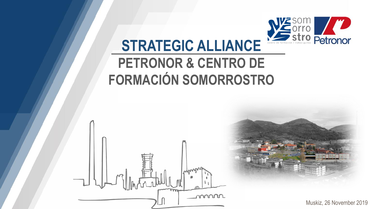

## **STRATEGIC ALLIANCE**

## **PETRONOR & CENTRO DE FORMACIÓN SOMORROSTRO**

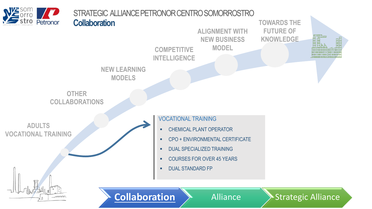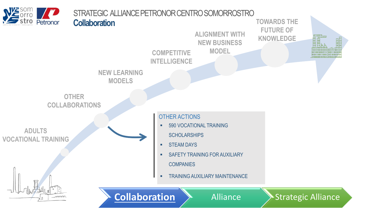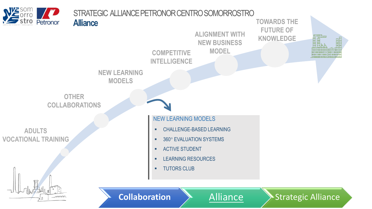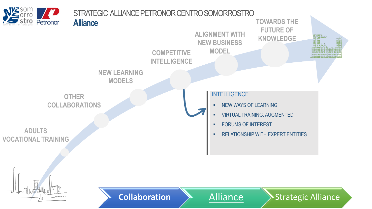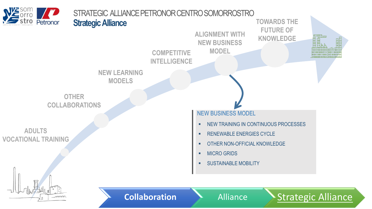

mmm

**Collaboration Alliance > Strategic Alliance**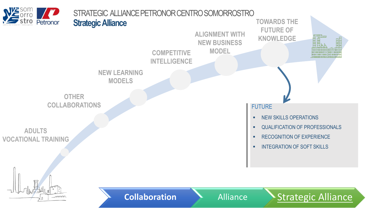

mmm

**Collaboration Alliance > Strategic Alliance**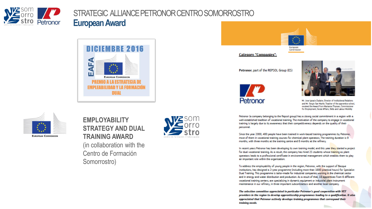

## STRATEGIC ALLIANCE PETRONOR CENTRO SOMORROSTRO **EuropeanAward**





**Category "Companies":** 

Petronor, part of the REPSOL Group (ES)





Mr. Jose Ignacio Zudaire, Director of Institutional Relations and Mr. Sergio San Martin, Teacher of the apprentice school. received the Award from Marianne Thyssen, Commissioner for Employment, Social Affairs, Skills and Labour Mobility

**The Contract of Street** 

Petronor (a company belonging to the Repsol group) has a strong social commitment in a region with a well-established tradition of vocational training. The motivation of the company to engage in vocational training is largely due to its awareness that their competitiveness depends on the quality of their personnel.

Since the year 2000, 400 people have been trained in work-based training programmes by Petronor, most of them in vocational training courses for chemical plant operators. The training duration is 9 months, with three months at the training centre and 6 months at the refinery.

In recent years Petronor has been developing its own training model, and this year they started a project for dual vocational training. As a result, the company has hired 25 students whose training as plant operators leads to a professional certificate in environmental management which enables them to play an important role within the organisation.

To address the employability of young people in the region, Petronor, with the support of Basque institutions, has designed a 2-year programme (including more than 1800 practical hours) for Specialist Dual Training. This programme is tailor-made for industrial companies working in the chemical sector and in energy and water distribution and production. As a result of that, 18 apprentices from 6 different vocational training centers, are specialising in dynamic equipment or industrial plant instrument. maintenance in our refinery, in three important subcontractors and another local company.

The selection committee appreciated in particular Petronor's good cooperation with VET providers in the region to develop apprenticeship programmes leading to a qualification. It also appreciated that Petronor actively develops training programmes that correspond their training needs.



**EUROPEAN COMMISSION** 

**EMPLOYABILITY STRATEGY AND DUAL TRAINING AWARD** (in collaboration with the Centro de Formación Somorrostro)